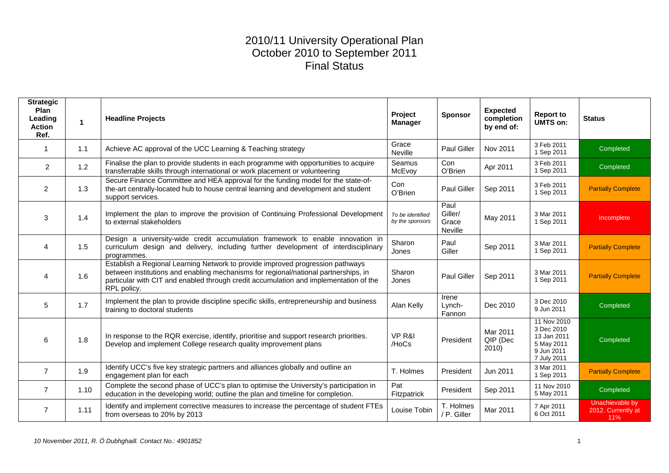### 2010/11 University Operational Plan October 2010 to September 2011 Final Status

| <b>Strategic</b><br>Plan<br>Leading<br><b>Action</b><br>Ref. | $\blacktriangleleft$ | <b>Headline Projects</b>                                                                                                                                                                                                                                                      | Project<br><b>Manager</b>           | <b>Sponsor</b>                      | <b>Expected</b><br>completion<br>by end of: | <b>Report to</b><br>UMTS on:                                                        | <b>Status</b>                                |
|--------------------------------------------------------------|----------------------|-------------------------------------------------------------------------------------------------------------------------------------------------------------------------------------------------------------------------------------------------------------------------------|-------------------------------------|-------------------------------------|---------------------------------------------|-------------------------------------------------------------------------------------|----------------------------------------------|
|                                                              | 1.1                  | Achieve AC approval of the UCC Learning & Teaching strategy                                                                                                                                                                                                                   | Grace<br>Neville                    | <b>Paul Giller</b>                  | Nov 2011                                    | 3 Feb 2011<br>1 Sep 2011                                                            | Completed                                    |
| $\overline{2}$                                               | 1.2                  | Finalise the plan to provide students in each programme with opportunities to acquire<br>transferrable skills through international or work placement or volunteering                                                                                                         | Seamus<br>McEvoy                    | Con<br>O'Brien                      | Apr 2011                                    | 3 Feb 2011<br>1 Sep 2011                                                            | Completed                                    |
| 2                                                            | 1.3                  | Secure Finance Committee and HEA approval for the funding model for the state-of-<br>the-art centrally-located hub to house central learning and development and student<br>support services.                                                                                 | Con<br>O'Brien                      | <b>Paul Giller</b>                  | Sep 2011                                    | 3 Feb 2011<br>1 Sep 2011                                                            | <b>Partially Complete</b>                    |
| 3                                                            | 1.4                  | Implement the plan to improve the provision of Continuing Professional Development<br>to external stakeholders                                                                                                                                                                | To be identified<br>by the sponsors | Paul<br>Giller/<br>Grace<br>Neville | May 2011                                    | 3 Mar 2011<br>1 Sep 2011                                                            | Incomplete                                   |
| $\boldsymbol{\Lambda}$                                       | 1.5                  | Design a university-wide credit accumulation framework to enable innovation in<br>curriculum design and delivery, including further development of interdisciplinary<br>programmes.                                                                                           | Sharon<br>Jones                     | Paul<br>Giller                      | Sep 2011                                    | 3 Mar 2011<br>1 Sep 2011                                                            | <b>Partially Complete</b>                    |
| 4                                                            | 1.6                  | Establish a Regional Learning Network to provide improved progression pathways<br>between institutions and enabling mechanisms for regional/national partnerships, in<br>particular with CIT and enabled through credit accumulation and implementation of the<br>RPL policy. | Sharon<br>Jones                     | <b>Paul Giller</b>                  | Sep 2011                                    | 3 Mar 2011<br>1 Sep 2011                                                            | <b>Partially Complete</b>                    |
| 5                                                            | 1.7                  | Implement the plan to provide discipline specific skills, entrepreneurship and business<br>training to doctoral students                                                                                                                                                      | Alan Kelly                          | Irene<br>Lynch-<br>Fannon           | Dec 2010                                    | 3 Dec 2010<br>9 Jun 2011                                                            | Completed                                    |
| 6                                                            | 1.8                  | In response to the RQR exercise, identify, prioritise and support research priorities.<br>Develop and implement College research quality improvement plans                                                                                                                    | VP R&I<br>/HoCs                     | President                           | Mar 2011<br>QIP (Dec<br>2010)               | 11 Nov 2010<br>3 Dec 2010<br>13 Jan 2011<br>5 May 2011<br>9 Jun 2011<br>7 July 2011 | Completed                                    |
| $\overline{7}$                                               | 1.9                  | Identify UCC's five key strategic partners and alliances globally and outline an<br>engagement plan for each                                                                                                                                                                  | T. Holmes                           | President                           | Jun 2011                                    | 3 Mar 2011<br>1 Sep 2011                                                            | <b>Partially Complete</b>                    |
| $\overline{7}$                                               | 1.10                 | Complete the second phase of UCC's plan to optimise the University's participation in<br>education in the developing world; outline the plan and timeline for completion.                                                                                                     | Pat<br>Fitzpatrick                  | President                           | Sep 2011                                    | 11 Nov 2010<br>5 May 2011                                                           | Completed                                    |
| 7                                                            | 1.11                 | Identify and implement corrective measures to increase the percentage of student FTEs<br>from overseas to 20% by 2013                                                                                                                                                         | Louise Tobin                        | T. Holmes<br>/ P. Giller            | Mar 2011                                    | 7 Apr 2011<br>6 Oct 2011                                                            | Unachievable by<br>2012. Currently at<br>11% |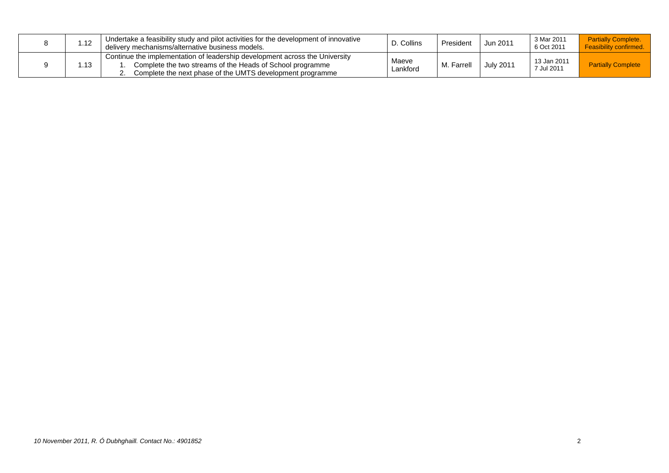| 1.12 | Undertake a feasibility study and pilot activities for the development of innovative<br>delivery mechanisms/alternative business models.                                                              | D. Collins        | President | Jun 2011         | 3 Mar 2011<br>6 Oct 2011  | <b>Partially Complete.</b><br><b>Feasibility confirmed.</b> |
|------|-------------------------------------------------------------------------------------------------------------------------------------------------------------------------------------------------------|-------------------|-----------|------------------|---------------------------|-------------------------------------------------------------|
| 1.13 | Continue the implementation of leadership development across the University<br>Complete the two streams of the Heads of School programme<br>Complete the next phase of the UMTS development programme | Maeve<br>Lankford | Farrell   | <b>July 2011</b> | 13 Jan 2011<br>7 Jul 2011 | <b>Partially Complete</b>                                   |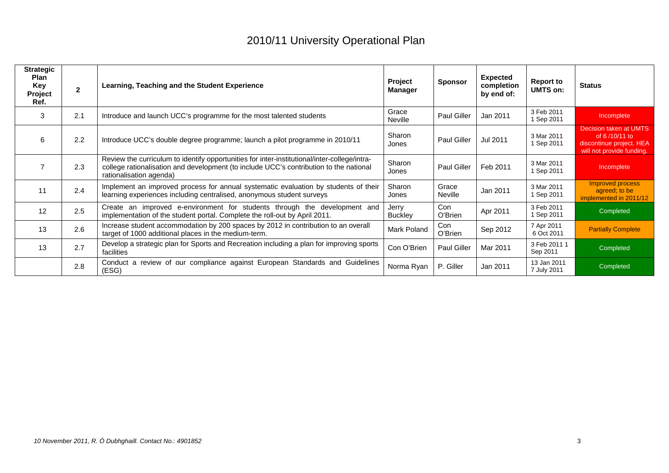| <b>Strategic</b><br><b>Plan</b><br>Key<br>Project<br>Ref. | $\mathbf{2}$ | Learning, Teaching and the Student Experience                                                                                                                                                                     | Project<br>Manager | <b>Sponsor</b>          | <b>Expected</b><br>completion<br>by end of: | <b>Report to</b><br><b>UMTS on:</b> | <b>Status</b>                                                                                    |
|-----------------------------------------------------------|--------------|-------------------------------------------------------------------------------------------------------------------------------------------------------------------------------------------------------------------|--------------------|-------------------------|---------------------------------------------|-------------------------------------|--------------------------------------------------------------------------------------------------|
| 3                                                         | 2.1          | Introduce and launch UCC's programme for the most talented students                                                                                                                                               | Grace<br>Neville   | Paul Giller             | Jan 2011                                    | 3 Feb 2011<br>1 Sep 2011            | Incomplete                                                                                       |
| 6                                                         | 2.2          | Introduce UCC's double degree programme; launch a pilot programme in 2010/11                                                                                                                                      | Sharon<br>Jones    | <b>Paul Giller</b>      | Jul 2011                                    | 3 Mar 2011<br>1 Sep 2011            | Decision taken at UMTS<br>of 6/10/11 to<br>discontinue project. HEA<br>will not provide funding. |
|                                                           | 2.3          | Review the curriculum to identify opportunities for inter-institutional/inter-college/intra-<br>college rationalisation and development (to include UCC's contribution to the national<br>rationalisation agenda) | Sharon<br>Jones    | <b>Paul Giller</b>      | Feb 2011                                    | 3 Mar 2011<br>1 Sep 2011            | Incomplete                                                                                       |
| 11                                                        | 2.4          | Implement an improved process for annual systematic evaluation by students of their<br>learning experiences including centralised, anonymous student surveys                                                      | Sharon<br>Jones    | Grace<br><b>Neville</b> | Jan 2011                                    | 3 Mar 2011<br>1 Sep 2011            | Improved process<br>agreed; to be<br>implemented in 2011/12                                      |
| 12                                                        | 2.5          | Create an improved e-environment for students through the development and<br>implementation of the student portal. Complete the roll-out by April 2011.                                                           | Jerry<br>Buckley   | Con<br>O'Brien          | Apr 2011                                    | 3 Feb 2011<br>1 Sep 2011            | Completed                                                                                        |
| 13                                                        | 2.6          | Increase student accommodation by 200 spaces by 2012 in contribution to an overall<br>target of 1000 additional places in the medium-term.                                                                        | Mark Poland        | Con<br>O'Brien          | Sep 2012                                    | 7 Apr 2011<br>6 Oct 2011            | <b>Partially Complete</b>                                                                        |
| 13                                                        | 2.7          | Develop a strategic plan for Sports and Recreation including a plan for improving sports<br>facilities                                                                                                            | Con O'Brien        | Paul Giller             | Mar 2011                                    | 3 Feb 2011 1<br>Sep 2011            | Completed                                                                                        |
|                                                           | 2.8          | Conduct a review of our compliance against European Standards and Guidelines<br>(ESG)                                                                                                                             | Norma Ryan         | P. Giller               | Jan 2011                                    | 13 Jan 2011<br>7 July 2011          | Completed                                                                                        |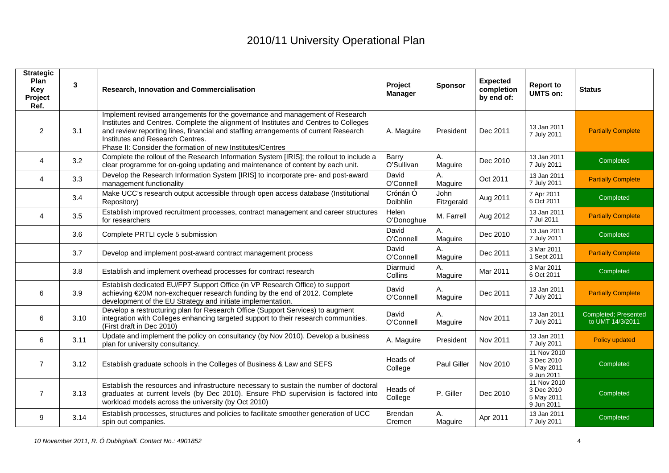| <b>Strategic</b><br>Plan<br>Key<br>Project<br>Ref. | 3    | Research, Innovation and Commercialisation                                                                                                                                                                                                                                                                                                                    | Project<br><b>Manager</b> | <b>Sponsor</b>     | <b>Expected</b><br>completion<br>by end of: | <b>Report to</b><br><b>UMTS on:</b>                   | <b>Status</b>                            |
|----------------------------------------------------|------|---------------------------------------------------------------------------------------------------------------------------------------------------------------------------------------------------------------------------------------------------------------------------------------------------------------------------------------------------------------|---------------------------|--------------------|---------------------------------------------|-------------------------------------------------------|------------------------------------------|
| $\overline{2}$                                     | 3.1  | Implement revised arrangements for the governance and management of Research<br>Institutes and Centres. Complete the alignment of Institutes and Centres to Colleges<br>and review reporting lines, financial and staffing arrangements of current Research<br>Institutes and Research Centres.<br>Phase II: Consider the formation of new Institutes/Centres | A. Maguire                | President          | Dec 2011                                    | 13 Jan 2011<br>7 July 2011                            | <b>Partially Complete</b>                |
| 4                                                  | 3.2  | Complete the rollout of the Research Information System [IRIS]; the rollout to include a<br>clear programme for on-going updating and maintenance of content by each unit.                                                                                                                                                                                    | Barry<br>O'Sullivan       | Α.<br>Maguire      | Dec 2010                                    | 13 Jan 2011<br>7 July 2011                            | Completed                                |
| 4                                                  | 3.3  | Develop the Research Information System [IRIS] to incorporate pre- and post-award<br>management functionality                                                                                                                                                                                                                                                 | David<br>O'Connell        | А.<br>Maguire      | Oct 2011                                    | 13 Jan 2011<br>7 July 2011                            | <b>Partially Complete</b>                |
|                                                    | 3.4  | Make UCC's research output accessible through open access database (Institutional<br>Repository)                                                                                                                                                                                                                                                              | Crónán Ó<br>Doibhlín      | John<br>Fitzgerald | Aug 2011                                    | 7 Apr 2011<br>6 Oct 2011                              | Completed                                |
| $\overline{4}$                                     | 3.5  | Establish improved recruitment processes, contract management and career structures<br>for researchers                                                                                                                                                                                                                                                        | Helen<br>O'Donoghue       | M. Farrell         | Aug 2012                                    | 13 Jan 2011<br>7 Jul 2011                             | <b>Partially Complete</b>                |
|                                                    | 3.6  | Complete PRTLI cycle 5 submission                                                                                                                                                                                                                                                                                                                             | David<br>O'Connell        | Α.<br>Maguire      | Dec 2010                                    | 13 Jan 2011<br>7 July 2011                            | Completed                                |
|                                                    | 3.7  | Develop and implement post-award contract management process                                                                                                                                                                                                                                                                                                  | David<br>O'Connell        | А.<br>Maguire      | Dec 2011                                    | 3 Mar 2011<br>1 Sept 2011                             | <b>Partially Complete</b>                |
|                                                    | 3.8  | Establish and implement overhead processes for contract research                                                                                                                                                                                                                                                                                              | Diarmuid<br>Collins       | А.<br>Maguire      | Mar 2011                                    | 3 Mar 2011<br>6 Oct 2011                              | Completed                                |
| 6                                                  | 3.9  | Establish dedicated EU/FP7 Support Office (in VP Research Office) to support<br>achieving €20M non-exchequer research funding by the end of 2012. Complete<br>development of the EU Strategy and initiate implementation.                                                                                                                                     | David<br>O'Connell        | А.<br>Maguire      | Dec 2011                                    | 13 Jan 2011<br>7 July 2011                            | <b>Partially Complete</b>                |
| 6                                                  | 3.10 | Develop a restructuring plan for Research Office (Support Services) to augment<br>integration with Colleges enhancing targeted support to their research communities.<br>(First draft in Dec 2010)                                                                                                                                                            | David<br>O'Connell        | Α.<br>Maguire      | Nov 2011                                    | 13 Jan 2011<br>7 July 2011                            | Completed; Presented<br>to UMT 14/3/2011 |
| 6                                                  | 3.11 | Update and implement the policy on consultancy (by Nov 2010). Develop a business<br>plan for university consultancy.                                                                                                                                                                                                                                          | A. Maguire                | President          | Nov 2011                                    | 13 Jan 2011<br>7 July 2011                            | Policy updated                           |
| $\overline{7}$                                     | 3.12 | Establish graduate schools in the Colleges of Business & Law and SEFS                                                                                                                                                                                                                                                                                         | Heads of<br>College       | Paul Giller        | Nov 2010                                    | 11 Nov 2010<br>3 Dec 2010<br>5 May 2011<br>9 Jun 2011 | Completed                                |
| $\overline{7}$                                     | 3.13 | Establish the resources and infrastructure necessary to sustain the number of doctoral<br>graduates at current levels (by Dec 2010). Ensure PhD supervision is factored into<br>workload models across the university (by Oct 2010)                                                                                                                           | Heads of<br>College       | P. Giller          | Dec 2010                                    | 11 Nov 2010<br>3 Dec 2010<br>5 May 2011<br>9 Jun 2011 | Completed                                |
| 9                                                  | 3.14 | Establish processes, structures and policies to facilitate smoother generation of UCC<br>spin out companies.                                                                                                                                                                                                                                                  | Brendan<br>Cremen         | Α.<br>Maguire      | Apr 2011                                    | 13 Jan 2011<br>7 July 2011                            | Completed                                |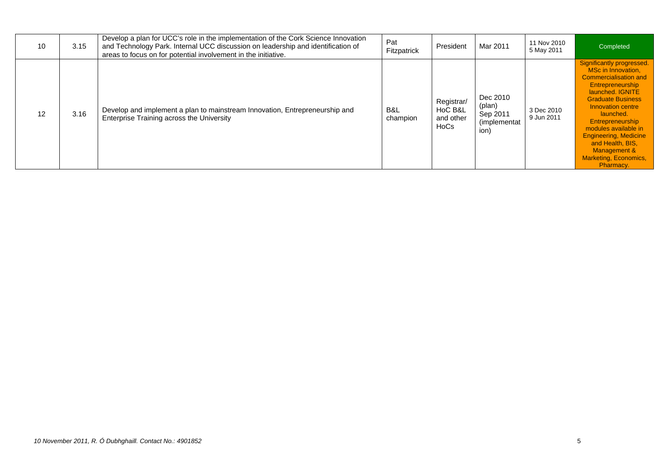| 10 | 3.15 | Develop a plan for UCC's role in the implementation of the Cork Science Innovation<br>and Technology Park. Internal UCC discussion on leadership and identification of<br>areas to focus on for potential involvement in the initiative. | Pat<br>Fitzpatrick | President                                  | Mar 2011                                                       | 11 Nov 2010<br>5 May 2011 | Completed                                                                                                                                                                                                                                                                                                                                                 |
|----|------|------------------------------------------------------------------------------------------------------------------------------------------------------------------------------------------------------------------------------------------|--------------------|--------------------------------------------|----------------------------------------------------------------|---------------------------|-----------------------------------------------------------------------------------------------------------------------------------------------------------------------------------------------------------------------------------------------------------------------------------------------------------------------------------------------------------|
| 12 | 3.16 | Develop and implement a plan to mainstream Innovation, Entrepreneurship and<br>Enterprise Training across the University                                                                                                                 | B&L<br>champion    | Registrar/<br>HoC B&L<br>and other<br>HoCs | Dec 2010<br>(plan)<br>Sep 2011<br><i>(implementat)</i><br>ion) | 3 Dec 2010<br>9 Jun 2011  | Significantly progressed.<br>MSc in Innovation.<br>Commercialisation and<br><b>Entrepreneurship</b><br>launched, IGNITE<br><b>Graduate Business</b><br>Innovation centre<br>launched.<br><b>Entrepreneurship</b><br>modules available in<br><b>Engineering, Medicine</b><br>and Health, BIS.<br>Management &<br><b>Marketing, Economics,</b><br>Pharmacy. |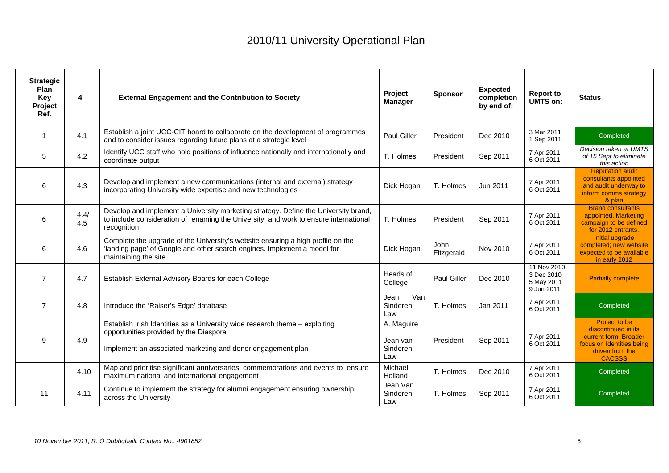| <b>Strategic</b><br>Plan<br>Key<br>Project<br>Ref. | 4           | <b>External Engagement and the Contribution to Society</b>                                                                                                                                 | Project<br><b>Manager</b>                 | <b>Sponsor</b>     | <b>Expected</b><br>completion<br>by end of: | <b>Report to</b><br>UMTS on:                          | <b>Status</b>                                                                                                                  |
|----------------------------------------------------|-------------|--------------------------------------------------------------------------------------------------------------------------------------------------------------------------------------------|-------------------------------------------|--------------------|---------------------------------------------|-------------------------------------------------------|--------------------------------------------------------------------------------------------------------------------------------|
| $\overline{1}$                                     | 4.1         | Establish a joint UCC-CIT board to collaborate on the development of programmes<br>and to consider issues regarding future plans at a strategic level                                      | <b>Paul Giller</b>                        | President          | Dec 2010                                    | 3 Mar 2011<br>1 Sep 2011                              | Completed                                                                                                                      |
| 5                                                  | 4.2         | Identify UCC staff who hold positions of influence nationally and internationally and<br>coordinate output                                                                                 | T. Holmes                                 | President          | Sep 2011                                    | 7 Apr 2011<br>6 Oct 2011                              | Decision taken at UMTS<br>of 15 Sept to eliminate<br>this action                                                               |
| 6                                                  | 4.3         | Develop and implement a new communications (internal and external) strategy<br>incorporating University wide expertise and new technologies                                                | Dick Hogan                                | T. Holmes          | Jun 2011                                    | 7 Apr 2011<br>6 Oct 2011                              | <b>Reputation audit</b><br>consultants appointed<br>and audit underway to<br>inform comms strategy<br>& plan                   |
| 6                                                  | 4.4/<br>4.5 | Develop and implement a University marketing strategy. Define the University brand,<br>to include consideration of renaming the University and work to ensure international<br>recognition | T. Holmes                                 | President          | Sep 2011                                    | 7 Apr 2011<br>6 Oct 2011                              | <b>Brand consultants</b><br>appointed. Marketing<br>campaign to be defined<br>for 2012 entrants.                               |
| 6                                                  | 4.6         | Complete the upgrade of the University's website ensuring a high profile on the<br>'landing page' of Google and other search engines. Implement a model for<br>maintaining the site        | Dick Hogan                                | John<br>Fitzgerald | Nov 2010                                    | 7 Apr 2011<br>6 Oct 2011                              | Initial upgrade<br>completed; new website<br>expected to be available<br>in early 2012                                         |
| $\overline{7}$                                     | 4.7         | Establish External Advisory Boards for each College                                                                                                                                        | Heads of<br>College                       | <b>Paul Giller</b> | Dec 2010                                    | 11 Nov 2010<br>3 Dec 2010<br>5 May 2011<br>9 Jun 2011 | <b>Partially complete</b>                                                                                                      |
| $\overline{7}$                                     | 4.8         | Introduce the 'Raiser's Edge' database                                                                                                                                                     | Van<br>Jean<br>Sinderen<br>Law            | T. Holmes          | Jan 2011                                    | 7 Apr 2011<br>6 Oct 2011                              | Completed                                                                                                                      |
| 9                                                  | 4.9         | Establish Irish Identities as a University wide research theme - exploiting<br>opportunities provided by the Diaspora<br>Implement an associated marketing and donor engagement plan       | A. Maguire<br>Jean van<br>Sinderen<br>Law | President          | Sep 2011                                    | 7 Apr 2011<br>6 Oct 2011                              | Project to be<br>discontinued in its<br>current form. Broader<br>focus on Identities being<br>driven from the<br><b>CACSSS</b> |
|                                                    | 4.10        | Map and prioritise significant anniversaries, commemorations and events to ensure<br>maximum national and international engagement                                                         | Michael<br>Holland                        | T. Holmes          | Dec 2010                                    | 7 Apr 2011<br>6 Oct 2011                              | Completed                                                                                                                      |
| 11                                                 | 4.11        | Continue to implement the strategy for alumni engagement ensuring ownership<br>across the University                                                                                       | Jean Van<br>Sinderen<br>Law               | T. Holmes          | Sep 2011                                    | 7 Apr 2011<br>6 Oct 2011                              | Completed                                                                                                                      |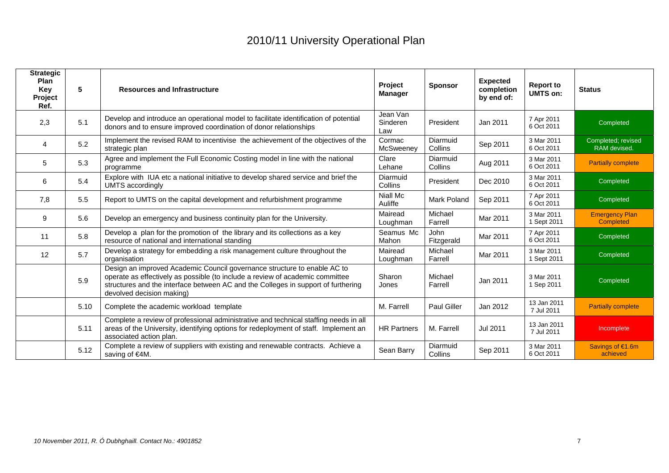| <b>Strategic</b><br><b>Plan</b><br>Key<br>Project<br>Ref. | $5\phantom{.0}$ | <b>Resources and Infrastructure</b>                                                                                                                                                                                                                                         | Project<br><b>Manager</b>   | <b>Sponsor</b>            | <b>Expected</b><br>completion<br>by end of: | <b>Report to</b><br><b>UMTS on:</b> | <b>Status</b>                             |
|-----------------------------------------------------------|-----------------|-----------------------------------------------------------------------------------------------------------------------------------------------------------------------------------------------------------------------------------------------------------------------------|-----------------------------|---------------------------|---------------------------------------------|-------------------------------------|-------------------------------------------|
| 2,3                                                       | 5.1             | Develop and introduce an operational model to facilitate identification of potential<br>donors and to ensure improved coordination of donor relationships                                                                                                                   | Jean Van<br>Sinderen<br>Law | President                 | Jan 2011                                    | 7 Apr 2011<br>6 Oct 2011            | Completed                                 |
| 4                                                         | 5.2             | Implement the revised RAM to incentivise the achievement of the objectives of the<br>strategic plan                                                                                                                                                                         | Cormac<br>McSweeney         | Diarmuid<br>Collins       | Sep 2011                                    | 3 Mar 2011<br>6 Oct 2011            | Completed; revised<br>RAM devised.        |
| 5                                                         | 5.3             | Agree and implement the Full Economic Costing model in line with the national<br>programme                                                                                                                                                                                  | Clare<br>Lehane             | Diarmuid<br>Collins       | Aug 2011                                    | 3 Mar 2011<br>6 Oct 2011            | <b>Partially complete</b>                 |
| 6                                                         | 5.4             | Explore with IUA etc a national initiative to develop shared service and brief the<br><b>UMTS</b> accordingly                                                                                                                                                               | Diarmuid<br>Collins         | President                 | Dec 2010                                    | 3 Mar 2011<br>6 Oct 2011            | Completed                                 |
| 7,8                                                       | 5.5             | Report to UMTS on the capital development and refurbishment programme                                                                                                                                                                                                       | <b>Niall Mc</b><br>Auliffe  | Mark Poland               | Sep 2011                                    | 7 Apr 2011<br>6 Oct 2011            | Completed                                 |
| 9                                                         | 5.6             | Develop an emergency and business continuity plan for the University.                                                                                                                                                                                                       | Mairead<br>Loughman         | Michael<br>Farrell        | Mar 2011                                    | 3 Mar 2011<br>1 Sept 2011           | <b>Emergency Plan</b><br><b>Completed</b> |
| 11                                                        | 5.8             | Develop a plan for the promotion of the library and its collections as a key<br>resource of national and international standing                                                                                                                                             | Seamus Mc<br>Mahon          | <b>John</b><br>Fitzgerald | Mar 2011                                    | 7 Apr 2011<br>6 Oct 2011            | Completed                                 |
| 12                                                        | 5.7             | Develop a strategy for embedding a risk management culture throughout the<br>organisation                                                                                                                                                                                   | Mairead<br>Loughman         | Michael<br>Farrell        | Mar 2011                                    | 3 Mar 2011<br>1 Sept 2011           | Completed                                 |
|                                                           | 5.9             | Design an improved Academic Council governance structure to enable AC to<br>operate as effectively as possible (to include a review of academic committee<br>structures and the interface between AC and the Colleges in support of furthering<br>devolved decision making) | Sharon<br>Jones             | Michael<br>Farrell        | Jan 2011                                    | 3 Mar 2011<br>1 Sep 2011            | Completed                                 |
|                                                           | 5.10            | Complete the academic workload template                                                                                                                                                                                                                                     | M. Farrell                  | <b>Paul Giller</b>        | Jan 2012                                    | 13 Jan 2011<br>7 Jul 2011           | <b>Partially complete</b>                 |
|                                                           | 5.11            | Complete a review of professional administrative and technical staffing needs in all<br>areas of the University, identifying options for redeployment of staff. Implement an<br>associated action plan.                                                                     | <b>HR Partners</b>          | M. Farrell                | Jul 2011                                    | 13 Jan 2011<br>7 Jul 2011           | Incomplete                                |
|                                                           | 5.12            | Complete a review of suppliers with existing and renewable contracts. Achieve a<br>saving of €4M.                                                                                                                                                                           | Sean Barry                  | Diarmuid<br>Collins       | Sep 2011                                    | 3 Mar 2011<br>6 Oct 2011            | Savings of €1.6m<br>achieved              |